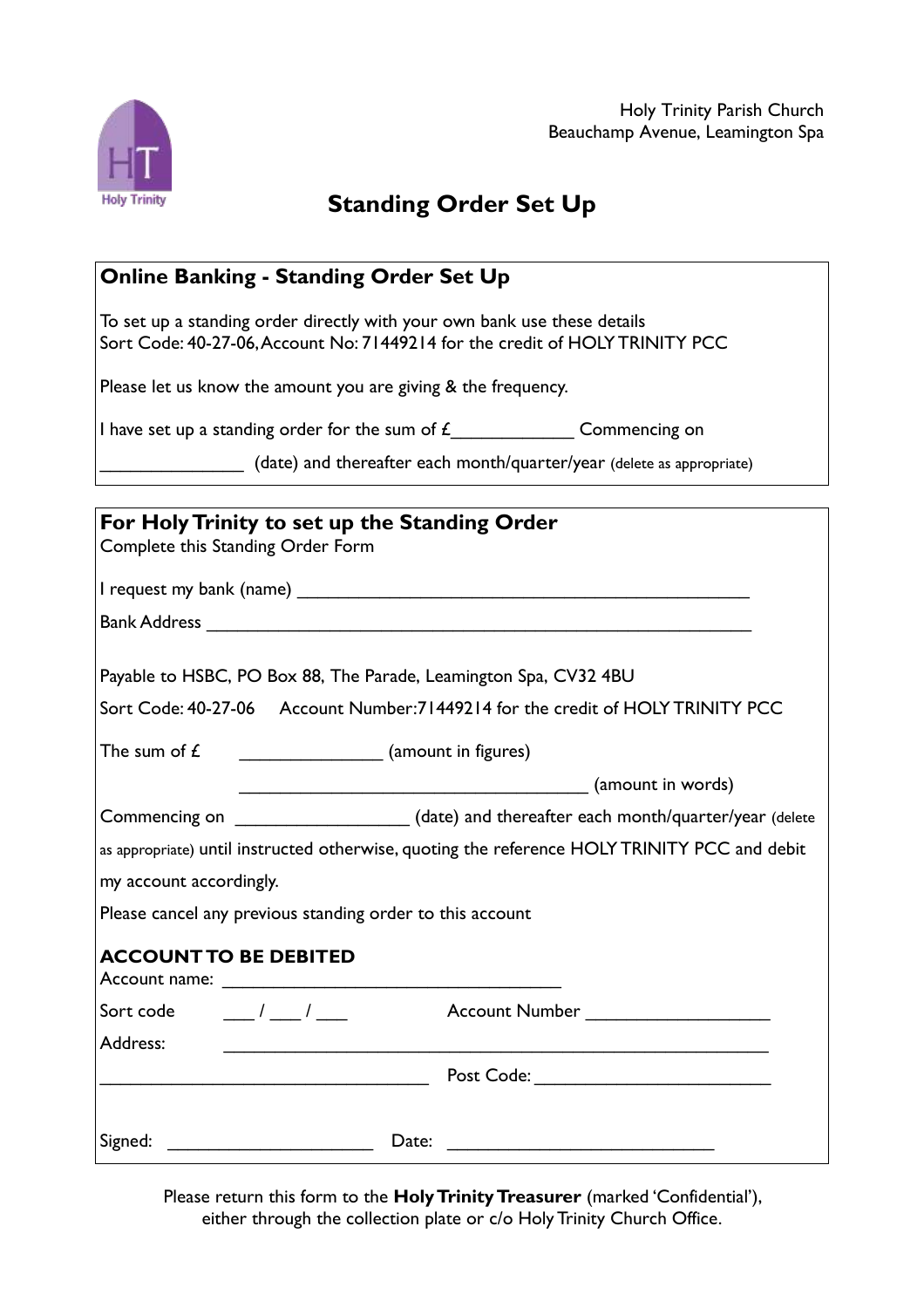Holy Trinity Parish Church Beauchamp Avenue, Leamington Spa



## **Standing Order Set Up**

## **Online Banking - Standing Order Set Up**

To set up a standing order directly with your own bank use these details Sort Code: 40-27-06,Account No: 71449214 for the credit of HOLYTRINITY PCC

Please let us know the amount you are giving & the frequency.

I have set up a standing order for the sum of  $f_{\text{max}}$  Commencing on

(date) and thereafter each month/quarter/year (delete as appropriate)

|                              | For Holy Trinity to set up the Standing Order                                                                         |  |  |
|------------------------------|-----------------------------------------------------------------------------------------------------------------------|--|--|
|                              | Complete this Standing Order Form                                                                                     |  |  |
|                              |                                                                                                                       |  |  |
|                              |                                                                                                                       |  |  |
|                              | Payable to HSBC, PO Box 88, The Parade, Leamington Spa, CV32 4BU                                                      |  |  |
|                              | Sort Code: 40-27-06 Account Number: 71449214 for the credit of HOLY TRINITY PCC                                       |  |  |
| The sum of $E$               | $\frac{1}{2}$ (amount in figures)                                                                                     |  |  |
|                              |                                                                                                                       |  |  |
|                              | Commencing on _____________________(date) and thereafter each month/quarter/year (delete                              |  |  |
|                              | as appropriate) until instructed otherwise, quoting the reference HOLY TRINITY PCC and debit                          |  |  |
| my account accordingly.      |                                                                                                                       |  |  |
|                              | Please cancel any previous standing order to this account                                                             |  |  |
| <b>ACCOUNT TO BE DEBITED</b> |                                                                                                                       |  |  |
| Sort code $1/2$              | Account Number _______________________                                                                                |  |  |
| Address:                     | <u> 1989 - Johann John Stoff, deutscher Stoffen und der Stoffen und der Stoffen und der Stoffen und der Stoffen u</u> |  |  |
|                              |                                                                                                                       |  |  |
|                              |                                                                                                                       |  |  |

Please return this form to the **HolyTrinityTreasurer** (marked 'Confidential'), either through the collection plate or c/o Holy Trinity Church Office.